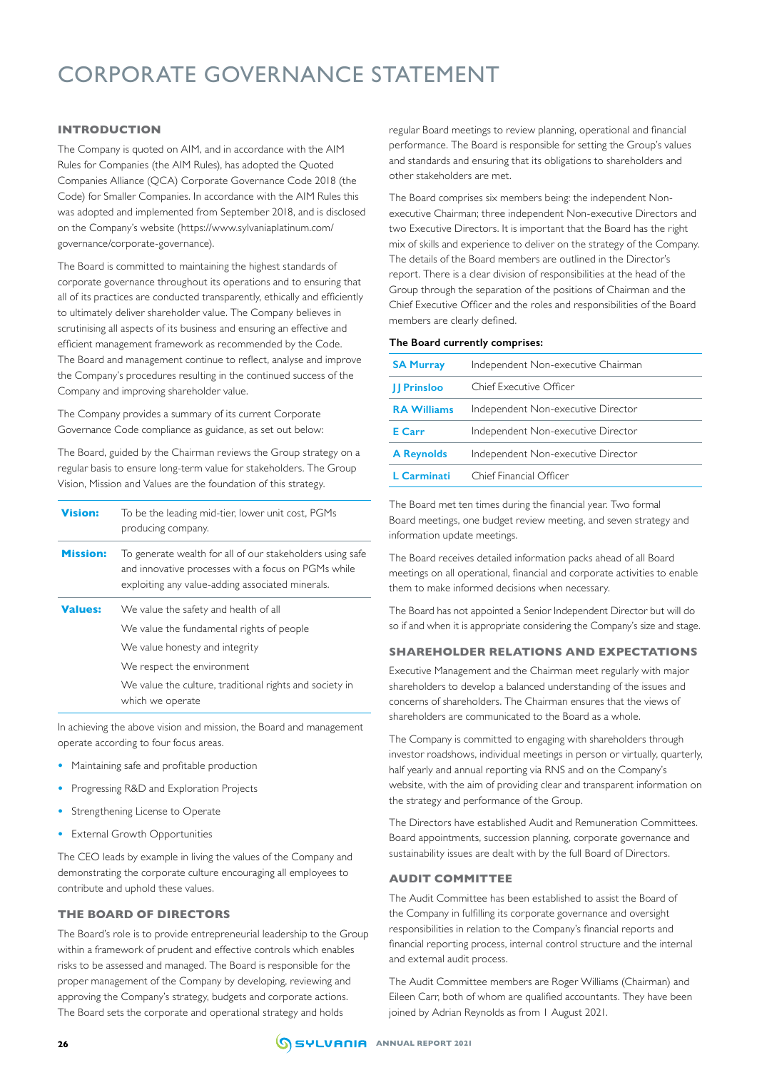# CORPORATE GOVERNANCE STATEMENT

# **INTRODUCTION**

The Company is quoted on AIM, and in accordance with the AIM Rules for Companies (the AIM Rules), has adopted the Quoted Companies Alliance (QCA) Corporate Governance Code 2018 (the Code) for Smaller Companies. In accordance with the AIM Rules this was adopted and implemented from September 2018, and is disclosed on the Company's website (https://www.sylvaniaplatinum.com/ governance/corporate-governance).

The Board is committed to maintaining the highest standards of corporate governance throughout its operations and to ensuring that all of its practices are conducted transparently, ethically and efficiently to ultimately deliver shareholder value. The Company believes in scrutinising all aspects of its business and ensuring an effective and efficient management framework as recommended by the Code. The Board and management continue to reflect, analyse and improve the Company's procedures resulting in the continued success of the Company and improving shareholder value.

The Company provides a summary of its current Corporate Governance Code compliance as guidance, as set out below:

The Board, guided by the Chairman reviews the Group strategy on a regular basis to ensure long-term value for stakeholders. The Group Vision, Mission and Values are the foundation of this strategy.

| <b>Vision:</b>  | To be the leading mid-tier, lower unit cost, PGMs<br>producing company.                                                                                                                                                           |
|-----------------|-----------------------------------------------------------------------------------------------------------------------------------------------------------------------------------------------------------------------------------|
| <b>Mission:</b> | To generate wealth for all of our stakeholders using safe<br>and innovative processes with a focus on PGMs while<br>exploiting any value-adding associated minerals.                                                              |
| <b>Values:</b>  | We value the safety and health of all<br>We value the fundamental rights of people<br>We value honesty and integrity<br>We respect the environment<br>We value the culture, traditional rights and society in<br>which we operate |

In achieving the above vision and mission, the Board and management operate according to four focus areas.

- **•** Maintaining safe and profitable production
- **•** Progressing R&D and Exploration Projects
- **•** Strengthening License to Operate
- **•** External Growth Opportunities

The CEO leads by example in living the values of the Company and demonstrating the corporate culture encouraging all employees to contribute and uphold these values.

## **THE BOARD OF DIRECTORS**

The Board's role is to provide entrepreneurial leadership to the Group within a framework of prudent and effective controls which enables risks to be assessed and managed. The Board is responsible for the proper management of the Company by developing, reviewing and approving the Company's strategy, budgets and corporate actions. The Board sets the corporate and operational strategy and holds

regular Board meetings to review planning, operational and financial performance. The Board is responsible for setting the Group's values and standards and ensuring that its obligations to shareholders and other stakeholders are met.

The Board comprises six members being: the independent Nonexecutive Chairman; three independent Non-executive Directors and two Executive Directors. It is important that the Board has the right mix of skills and experience to deliver on the strategy of the Company. The details of the Board members are outlined in the Director's report. There is a clear division of responsibilities at the head of the Group through the separation of the positions of Chairman and the Chief Executive Officer and the roles and responsibilities of the Board members are clearly defined.

## **The Board currently comprises:**

| <b>SA Murray</b>   | Independent Non-executive Chairman |
|--------------------|------------------------------------|
| <b>II Prinsloo</b> | Chief Executive Officer            |
| <b>RA Williams</b> | Independent Non-executive Director |
| E Carr             | Independent Non-executive Director |
| <b>A Reynolds</b>  | Independent Non-executive Director |
| L Carminati        | Chief Financial Officer            |

The Board met ten times during the financial year. Two formal Board meetings, one budget review meeting, and seven strategy and information update meetings.

The Board receives detailed information packs ahead of all Board meetings on all operational, financial and corporate activities to enable them to make informed decisions when necessary.

The Board has not appointed a Senior Independent Director but will do so if and when it is appropriate considering the Company's size and stage.

## **SHAREHOLDER RELATIONS AND EXPECTATIONS**

Executive Management and the Chairman meet regularly with major shareholders to develop a balanced understanding of the issues and concerns of shareholders. The Chairman ensures that the views of shareholders are communicated to the Board as a whole.

The Company is committed to engaging with shareholders through investor roadshows, individual meetings in person or virtually, quarterly, half yearly and annual reporting via RNS and on the Company's website, with the aim of providing clear and transparent information on the strategy and performance of the Group.

The Directors have established Audit and Remuneration Committees. Board appointments, succession planning, corporate governance and sustainability issues are dealt with by the full Board of Directors.

# **AUDIT COMMITTEE**

The Audit Committee has been established to assist the Board of the Company in fulfilling its corporate governance and oversight responsibilities in relation to the Company's financial reports and financial reporting process, internal control structure and the internal and external audit process.

The Audit Committee members are Roger Williams (Chairman) and Eileen Carr, both of whom are qualified accountants. They have been joined by Adrian Reynolds as from 1 August 2021.